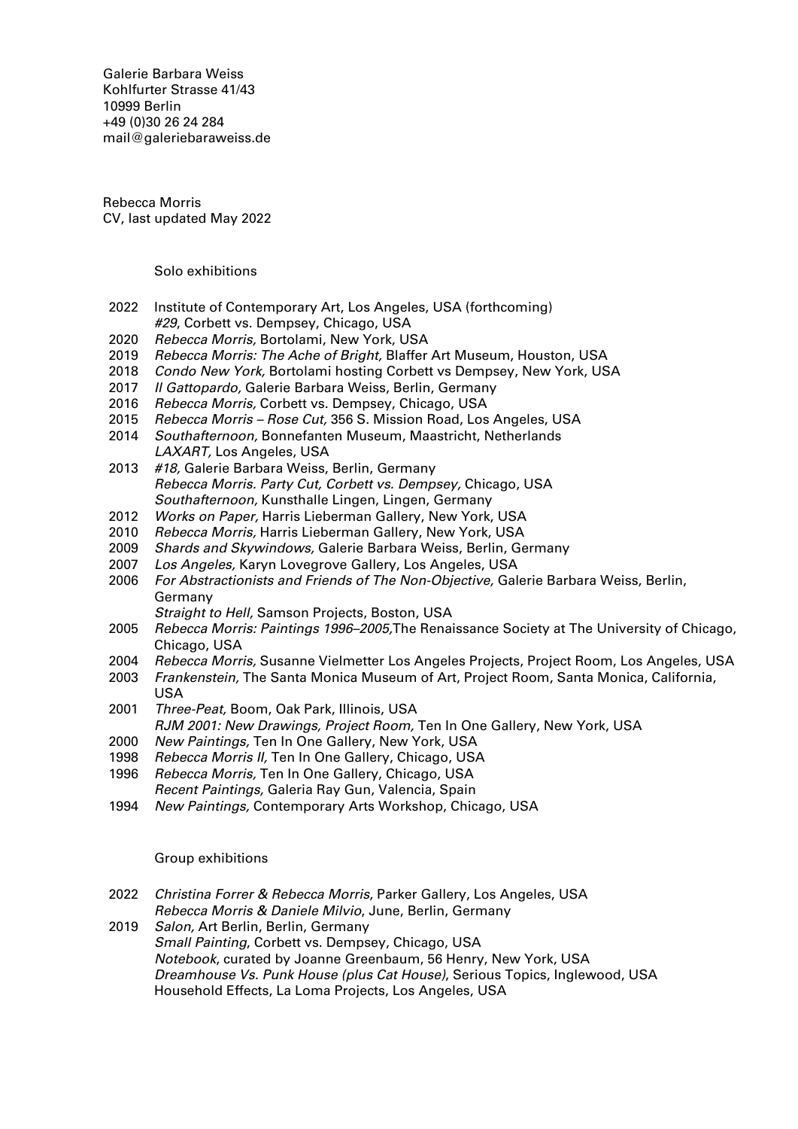Galerie Barbara Weiss [Kohlfurter Strasse 41/43](https://goo.gl/maps/ZQcePopa6uu3a3k19) [10999 Berlin](https://goo.gl/maps/ZQcePopa6uu3a3k19) +49 (0)30 26 24 284 [mail@galeriebaraweiss.de](mailto:mail@galeriebarbaraweiss.de)

Rebecca Morris CV, last updated May 2022

Solo exhibitions

- 2022 Institute of Contemporary Art, Los Angeles, USA (forthcoming) #29, Corbett vs. Dempsey, Chicago, USA
- 2020 Rebecca Morris, Bortolami, New York, USA
- 2019 Rebecca Morris: The Ache of Bright, Blaffer Art Museum, Houston, USA
- 2018 Condo New York, Bortolami hosting Corbett vs Dempsey, New York, USA
- 2017 Il Gattopardo, Galerie Barbara Weiss, Berlin, Germany
- 2016 Rebecca Morris, Corbett vs. Dempsey, Chicago, USA
- 2015 Rebecca Morris Rose Cut, 356 S. Mission Road, Los Angeles, USA
- 2014 Southafternoon, Bonnefanten Museum, Maastricht, Netherlands
- LAXART, Los Angeles, USA 2013 #18, Galerie Barbara Weiss, Berlin, Germany Rebecca Morris. Party Cut, Corbett vs. Dempsey, Chicago, USA Southafternoon, Kunsthalle Lingen, Lingen, Germany
- 2012 Works on Paper, Harris Lieberman Gallery, New York, USA
- 2010 Rebecca Morris, Harris Lieberman Gallery, New York, USA
- 2009 Shards and Skywindows, Galerie Barbara Weiss, Berlin, Germany
- 
- 2007 Los Angeles, Karyn Lovegrove Gallery, Los Angeles, USA<br>2006 For Abstractionists and Friends of The Non-Objective, Gal 2006 For Abstractionists and Friends of The Non-Objective, Galerie Barbara Weiss, Berlin, Germany
	- Straight to Hell, Samson Projects, Boston, USA
- 2005 Rebecca Morris: Paintings 1996–2005,The Renaissance Society at The University of Chicago, Chicago, USA
- 2004 Rebecca Morris, Susanne Vielmetter Los Angeles Projects, Project Room, Los Angeles, USA
- 2003 Frankenstein, The Santa Monica Museum of Art, Project Room, Santa Monica, California, USA
- 2001 Three-Peat, Boom, Oak Park, Illinois, USA RJM 2001: New Drawings, Project Room, Ten In One Gallery, New York, USA
- 
- 2000 New Paintings, Ten In One Gallery, New York, USA<br>1998 Rebecca Morris II. Ten In One Gallery, Chicago, USA Rebecca Morris II, Ten In One Gallery, Chicago, USA
- 1996 Rebecca Morris, Ten In One Gallery, Chicago, USA
- Recent Paintings, Galeria Ray Gun, Valencia, Spain
- 1994 New Paintings, Contemporary Arts Workshop, Chicago, USA

## Group exhibitions

- 2022 Christina Forrer & Rebecca Morris, Parker Gallery, Los Angeles, USA Rebecca Morris & Daniele Milvio, June, Berlin, Germany
- 2019 Salon, Art Berlin, Berlin, Germany Small Painting, Corbett vs. Dempsey, Chicago, USA Notebook, curated by Joanne Greenbaum, 56 Henry, New York, USA Dreamhouse Vs. Punk House (plus Cat House), Serious Topics, Inglewood, USA Household Effects, La Loma Projects, Los Angeles, USA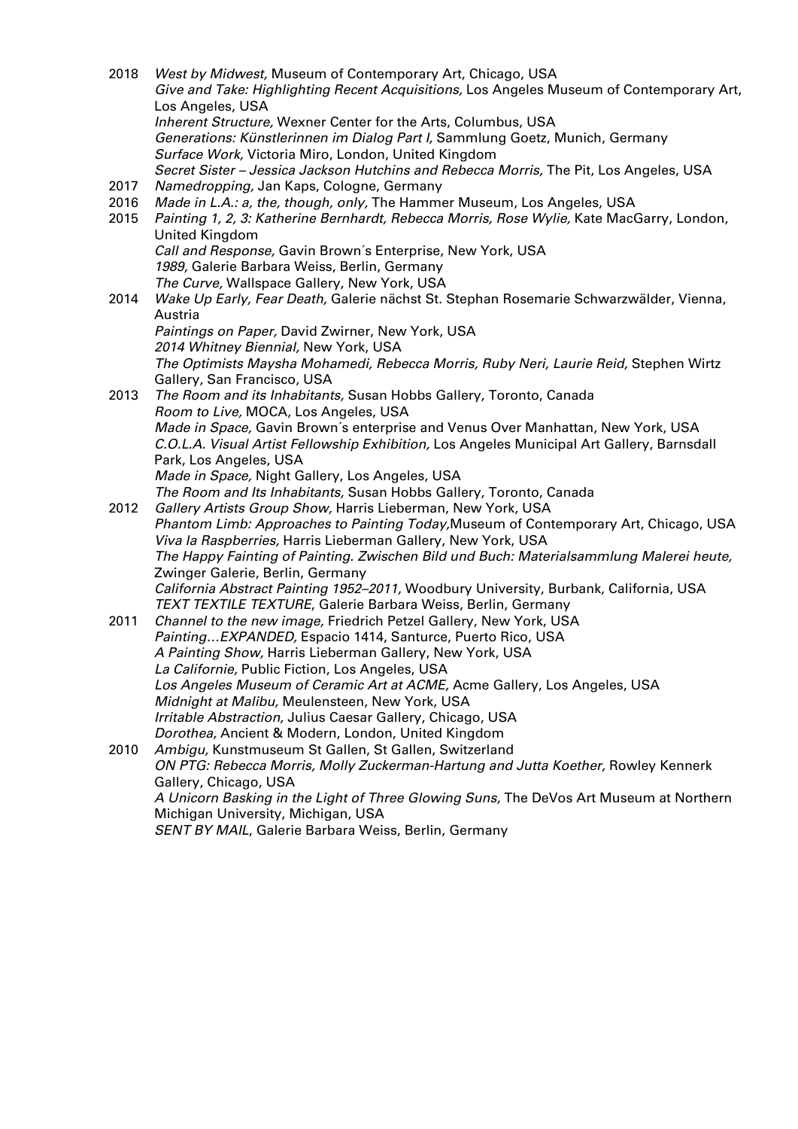- 2018 West by Midwest, Museum of Contemporary Art, Chicago, USA Give and Take: Highlighting Recent Acquisitions, Los Angeles Museum of Contemporary Art, Los Angeles, USA Inherent Structure, Wexner Center for the Arts, Columbus, USA Generations: Künstlerinnen im Dialog Part I, Sammlung Goetz, Munich, Germany Surface Work, Victoria Miro, London, United Kingdom Secret Sister – Jessica Jackson Hutchins and Rebecca Morris, The Pit, Los Angeles, USA 2017 Namedropping, Jan Kaps, Cologne, Germany 2016 Made in L.A.: a, the, though, only, The Hammer Museum, Los Angeles, USA 2015 Painting 1, 2, 3: Katherine Bernhardt, Rebecca Morris, Rose Wylie, Kate MacGarry, London, United Kingdom Call and Response, Gavin Brown´s Enterprise, New York, USA 1989, Galerie Barbara Weiss, Berlin, Germany The Curve, Wallspace Gallery, New York, USA 2014 Wake Up Early, Fear Death, Galerie nächst St. Stephan Rosemarie Schwarzwälder, Vienna, Austria
	- Paintings on Paper, David Zwirner, New York, USA 2014 Whitney Biennial, New York, USA The Optimists Maysha Mohamedi, Rebecca Morris, Ruby Neri, Laurie Reid, Stephen Wirtz Gallery, San Francisco, USA
- 2013 The Room and its Inhabitants, Susan Hobbs Gallery, Toronto, Canada Room to Live, MOCA, Los Angeles, USA Made in Space, Gavin Brown´s enterprise and Venus Over Manhattan, New York, USA C.O.L.A. Visual Artist Fellowship Exhibition, Los Angeles Municipal Art Gallery, Barnsdall Park, Los Angeles, USA Made in Space, Night Gallery, Los Angeles, USA The Room and Its Inhabitants, Susan Hobbs Gallery, Toronto, Canada
- 2012 Gallery Artists Group Show, Harris Lieberman, New York, USA Phantom Limb: Approaches to Painting Today,Museum of Contemporary Art, Chicago, USA Viva la Raspberries, Harris Lieberman Gallery, New York, USA The Happy Fainting of Painting. Zwischen Bild und Buch: Materialsammlung Malerei heute, Zwinger Galerie, Berlin, Germany California Abstract Painting 1952–2011, Woodbury University, Burbank, California, USA TEXT TEXTILE TEXTURE, Galerie Barbara Weiss, Berlin, Germany
- 2011 Channel to the new image, Friedrich Petzel Gallery, New York, USA Painting…EXPANDED, Espacio 1414, Santurce, Puerto Rico, USA A Painting Show, Harris Lieberman Gallery, New York, USA La Californie, Public Fiction, Los Angeles, USA Los Angeles Museum of Ceramic Art at ACME, Acme Gallery, Los Angeles, USA Midnight at Malibu, Meulensteen, New York, USA Irritable Abstraction, Julius Caesar Gallery, Chicago, USA Dorothea, Ancient & Modern, London, United Kingdom 2010 Ambigu, Kunstmuseum St Gallen, St Gallen, Switzerland
- ON PTG: Rebecca Morris, Molly Zuckerman-Hartung and Jutta Koether, Rowley Kennerk Gallery, Chicago, USA A Unicorn Basking in the Light of Three Glowing Suns, The DeVos Art Museum at Northern Michigan University, Michigan, USA SENT BY MAIL, Galerie Barbara Weiss, Berlin, Germany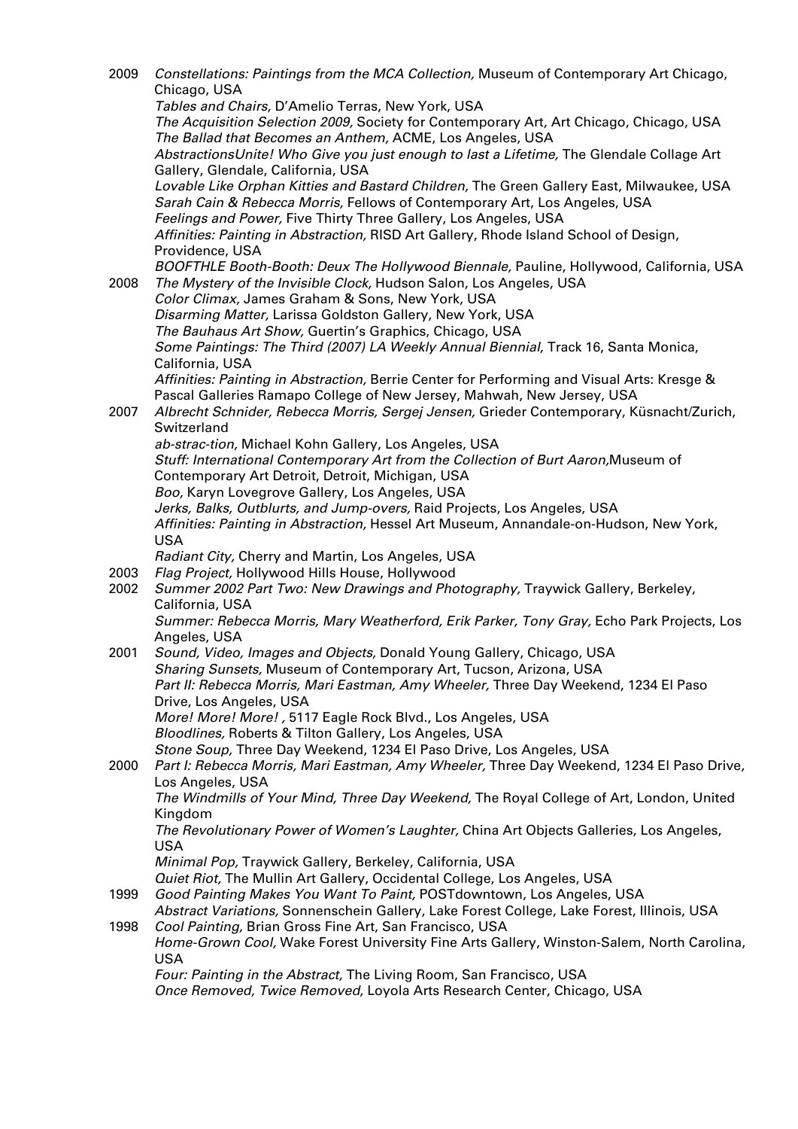2009 Constellations: Paintings from the MCA Collection, Museum of Contemporary Art Chicago, Chicago, USA Tables and Chairs, D'Amelio Terras, New York, USA The Acquisition Selection 2009, Society for Contemporary Art, Art Chicago, Chicago, USA The Ballad that Becomes an Anthem, ACME, Los Angeles, USA AbstractionsUnite! Who Give you just enough to last a Lifetime, The Glendale Collage Art Gallery, Glendale, California, USA Lovable Like Orphan Kitties and Bastard Children, The Green Gallery East, Milwaukee, USA Sarah Cain & Rebecca Morris, Fellows of Contemporary Art, Los Angeles, USA Feelings and Power, Five Thirty Three Gallery, Los Angeles, USA Affinities: Painting in Abstraction, RISD Art Gallery, Rhode Island School of Design, Providence, USA BOOFTHLE Booth-Booth: Deux The Hollywood Biennale, Pauline, Hollywood, California, USA 2008 The Mystery of the Invisible Clock, Hudson Salon, Los Angeles, USA Color Climax, James Graham & Sons, New York, USA Disarming Matter, Larissa Goldston Gallery, New York, USA The Bauhaus Art Show, Guertin's Graphics, Chicago, USA Some Paintings: The Third (2007) LA Weekly Annual Biennial, Track 16, Santa Monica, California, USA Affinities: Painting in Abstraction, Berrie Center for Performing and Visual Arts: Kresge & Pascal Galleries Ramapo College of New Jersey, Mahwah, New Jersey, USA 2007 Albrecht Schnider, Rebecca Morris, Sergej Jensen, Grieder Contemporary, Küsnacht/Zurich, Switzerland ab-strac-tion, Michael Kohn Gallery, Los Angeles, USA Stuff: International Contemporary Art from the Collection of Burt Aaron,Museum of Contemporary Art Detroit, Detroit, Michigan, USA Boo, Karyn Lovegrove Gallery, Los Angeles, USA Jerks, Balks, Outblurts, and Jump-overs, Raid Projects, Los Angeles, USA Affinities: Painting in Abstraction, Hessel Art Museum, Annandale-on-Hudson, New York, USA Radiant City, Cherry and Martin, Los Angeles, USA 2003 Flag Project, Hollywood Hills House, Hollywood 2002 Summer 2002 Part Two: New Drawings and Photography, Traywick Gallery, Berkeley, California, USA Summer: Rebecca Morris, Mary Weatherford, Erik Parker, Tony Gray, Echo Park Projects, Los Angeles, USA 2001 Sound, Video, Images and Objects, Donald Young Gallery, Chicago, USA Sharing Sunsets, Museum of Contemporary Art, Tucson, Arizona, USA Part II: Rebecca Morris, Mari Eastman, Amy Wheeler, Three Day Weekend, 1234 El Paso Drive, Los Angeles, USA More! More! More! , 5117 Eagle Rock Blvd., Los Angeles, USA Bloodlines, Roberts & Tilton Gallery, Los Angeles, USA Stone Soup, Three Day Weekend, 1234 El Paso Drive, Los Angeles, USA 2000 Part I: Rebecca Morris, Mari Eastman, Amy Wheeler, Three Day Weekend, 1234 El Paso Drive, Los Angeles, USA The Windmills of Your Mind, Three Day Weekend, The Royal College of Art, London, United Kingdom The Revolutionary Power of Women's Laughter, China Art Objects Galleries, Los Angeles, USA Minimal Pop, Traywick Gallery, Berkeley, California, USA Quiet Riot, The Mullin Art Gallery, Occidental College, Los Angeles, USA 1999 Good Painting Makes You Want To Paint, POSTdowntown, Los Angeles, USA Abstract Variations, Sonnenschein Gallery, Lake Forest College, Lake Forest, Illinois, USA 1998 Cool Painting, Brian Gross Fine Art, San Francisco, USA Home-Grown Cool, Wake Forest University Fine Arts Gallery, Winston-Salem, North Carolina, USA Four: Painting in the Abstract, The Living Room, San Francisco, USA Once Removed, Twice Removed, Loyola Arts Research Center, Chicago, USA